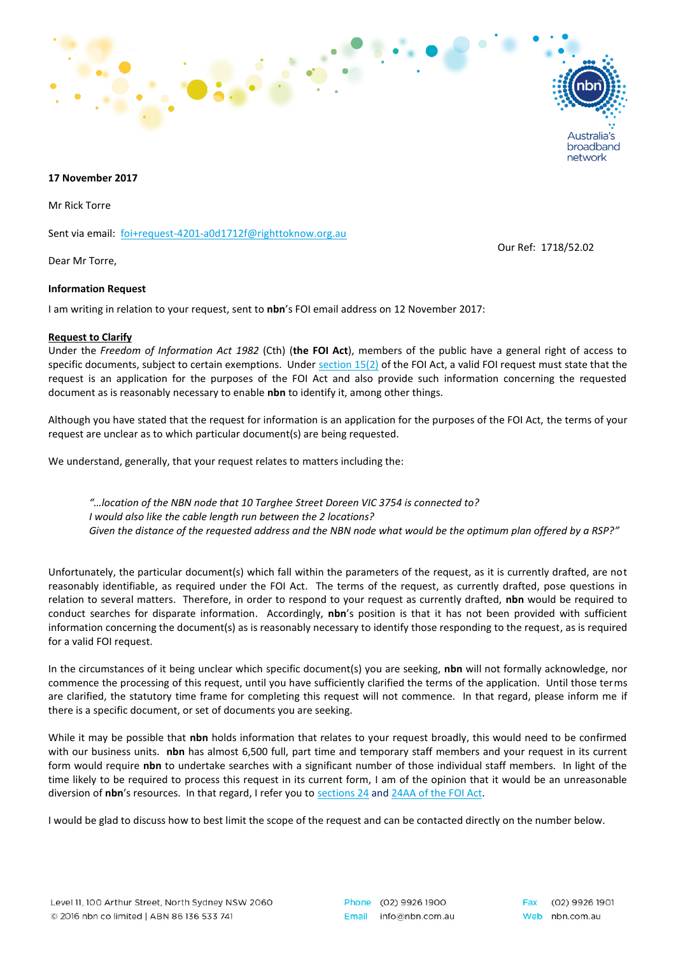

## **17 November 2017**

Mr Rick Torre

Sent via email: [foi+request-4201-a0d1712f@righttoknow.org.au](mailto:xxxxxxxxxxxxxxxxxxxxxxxxx@xxxxxxxxxxx.xxx.xx)

Dear Mr Torre,

## **Information Request**

I am writing in relation to your request, sent to **nbn**'s FOI email address on 12 November 2017:

## **Request to Clarify**

Under the *Freedom of Information Act 1982* (Cth) (**the FOI Act**), members of the public have a general right of access to specific documents, subject to certain exemptions. Under [section 15\(2\)](http://www.austlii.edu.au/au/legis/cth/consol_act/foia1982222/s15.html) of the FOI Act, a valid FOI request must state that the request is an application for the purposes of the FOI Act and also provide such information concerning the requested document as is reasonably necessary to enable **nbn** to identify it, among other things.

Although you have stated that the request for information is an application for the purposes of the FOI Act, the terms of your request are unclear as to which particular document(s) are being requested.

We understand, generally, that your request relates to matters including the:

*"…location of the NBN node that 10 Targhee Street Doreen VIC 3754 is connected to? I would also like the cable length run between the 2 locations? Given the distance of the requested address and the NBN node what would be the optimum plan offered by a RSP?"*

Unfortunately, the particular document(s) which fall within the parameters of the request, as it is currently drafted, are not reasonably identifiable, as required under the FOI Act. The terms of the request, as currently drafted, pose questions in relation to several matters. Therefore, in order to respond to your request as currently drafted, **nbn** would be required to conduct searches for disparate information. Accordingly, **nbn**'s position is that it has not been provided with sufficient information concerning the document(s) as is reasonably necessary to identify those responding to the request, as is required for a valid FOI request.

In the circumstances of it being unclear which specific document(s) you are seeking, **nbn** will not formally acknowledge, nor commence the processing of this request, until you have sufficiently clarified the terms of the application. Until those terms are clarified, the statutory time frame for completing this request will not commence. In that regard, please inform me if there is a specific document, or set of documents you are seeking.

While it may be possible that **nbn** holds information that relates to your request broadly, this would need to be confirmed with our business units. **nbn** has almost 6,500 full, part time and temporary staff members and your request in its current form would require **nbn** to undertake searches with a significant number of those individual staff members. In light of the time likely to be required to process this request in its current form, I am of the opinion that it would be an unreasonable diversion of **nbn**'s resources. In that regard, I refer you to [sections 24](http://www.austlii.edu.au/au/legis/cth/consol_act/foia1982222/s24.html) and [24AA of the FOI Act.](http://www.austlii.edu.au/au/legis/cth/consol_act/foia1982222/s24aa.html)

I would be glad to discuss how to best limit the scope of the request and can be contacted directly on the number below.

Our Ref: 1718/52.02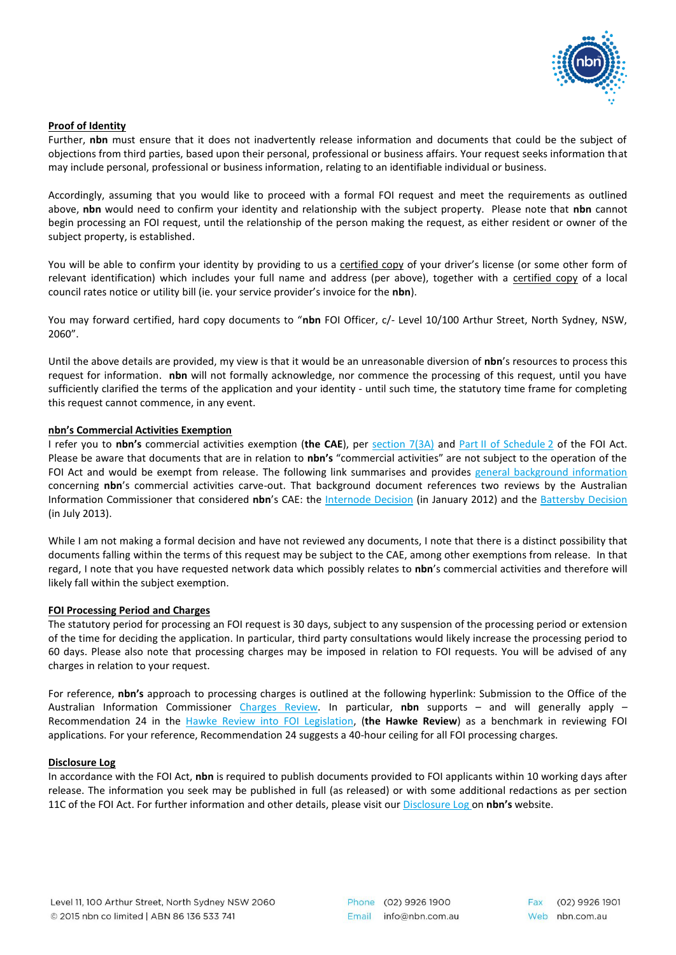

# **Proof of Identity**

Further, **nbn** must ensure that it does not inadvertently release information and documents that could be the subject of objections from third parties, based upon their personal, professional or business affairs. Your request seeks information that may include personal, professional or business information, relating to an identifiable individual or business.

Accordingly, assuming that you would like to proceed with a formal FOI request and meet the requirements as outlined above, **nbn** would need to confirm your identity and relationship with the subject property. Please note that **nbn** cannot begin processing an FOI request, until the relationship of the person making the request, as either resident or owner of the subject property, is established.

You will be able to confirm your identity by providing to us a certified copy of your driver's license (or some other form of relevant identification) which includes your full name and address (per above), together with a certified copy of a local council rates notice or utility bill (ie. your service provider's invoice for the **nbn**).

You may forward certified, hard copy documents to "**nbn** FOI Officer, c/- Level 10/100 Arthur Street, North Sydney, NSW, 2060".

Until the above details are provided, my view is that it would be an unreasonable diversion of **nbn**'s resources to process this request for information. **nbn** will not formally acknowledge, nor commence the processing of this request, until you have sufficiently clarified the terms of the application and your identity - until such time, the statutory time frame for completing this request cannot commence, in any event.

# **nbn's Commercial Activities Exemption**

I refer you to **nbn's** commercial activities exemption (**the CAE**), per [section 7\(3A\)](http://www.austlii.edu.au/au/legis/cth/consol_act/foia1982222/s7.html) and Part [II of Schedule](http://www.austlii.edu.au/au/legis/cth/consol_act/foia1982222/sch2.html) 2 of the FOI Act. Please be aware that documents that are in relation to **nbn's** "commercial activities" are not subject to the operation of the FOI Act and would be exempt from release. The following link summarises and provides [general background information](http://www.nbnco.com.au/content/dam/nbnco2/documents/standard-foi-decision-information-2014124.pdf) concerning **nbn**'s commercial activities carve-out. That background document references two reviews by the Australian Information Commissioner that considered **nbn**'s CAE: the [Internode Decision](http://www.oaic.gov.au/freedom-of-information/foi-decisions/ic-review-decisions/2012-aicmr-4) (in January 2012) and the [Battersby Decision](http://www.oaic.gov.au/images/documents/freedom-of-information/ic-review-decicions/2013-AICmr61.pdf) (in July 2013).

While I am not making a formal decision and have not reviewed any documents, I note that there is a distinct possibility that documents falling within the terms of this request may be subject to the CAE, among other exemptions from release. In that regard, I note that you have requested network data which possibly relates to **nbn**'s commercial activities and therefore will likely fall within the subject exemption.

# **FOI Processing Period and Charges**

The statutory period for processing an FOI request is 30 days, subject to any suspension of the processing period or extension of the time for deciding the application. In particular, third party consultations would likely increase the processing period to 60 days. Please also note that processing charges may be imposed in relation to FOI requests. You will be advised of any charges in relation to your request.

For reference, **nbn's** approach to processing charges is outlined at the following hyperlink: Submission to the Office of the Australian Information Commissioner [Charges Review.](http://www.nbnco.com.au/content/dam/nbnco2/documents/nbn-foi-charges-review-submission.pdf) In particular, **nbn** supports – and will generally apply – Recommendation 24 in the [Hawke Review into FOI Legislation,](http://www.nbnco.com.au/content/dam/nbnco2/documents/nbns-hawke-review-submission.pdf) (**the Hawke Review**) as a benchmark in reviewing FOI applications. For your reference, Recommendation 24 suggests a 40-hour ceiling for all FOI processing charges.

# **Disclosure Log**

In accordance with the FOI Act, **nbn** is required to publish documents provided to FOI applicants within 10 working days after release. The information you seek may be published in full (as released) or with some additional redactions as per section 11C of the FOI Act. For further information and other details, please visit ou[r Disclosure Log o](http://www.nbnco.com.au/corporate-information/about-nbn-co/freedom-of-information/disclosure-log.html#.VGF7ufmSxqI)n **nbn's** website.

Phone (02) 9926 1900 Email info@nbn.com.au